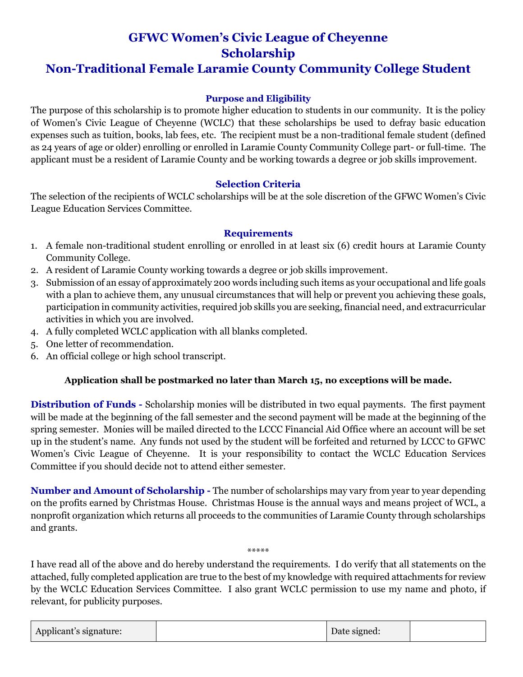# **GFWC Women's Civic League of Cheyenne Scholarship**

### **Non-Traditional Female Laramie County Community College Student**

#### **Purpose and Eligibility**

The purpose of this scholarship is to promote higher education to students in our community. It is the policy of Women's Civic League of Cheyenne (WCLC) that these scholarships be used to defray basic education expenses such as tuition, books, lab fees, etc. The recipient must be a non-traditional female student (defined as 24 years of age or older) enrolling or enrolled in Laramie County Community College part- or full-time. The applicant must be a resident of Laramie County and be working towards a degree or job skills improvement.

#### **Selection Criteria**

The selection of the recipients of WCLC scholarships will be at the sole discretion of the GFWC Women's Civic League Education Services Committee.

#### **Requirements**

- 1. A female non-traditional student enrolling or enrolled in at least six (6) credit hours at Laramie County Community College.
- 2. A resident of Laramie County working towards a degree or job skills improvement.
- 3. Submission of an essay of approximately 200 words including such items as your occupational and life goals with a plan to achieve them, any unusual circumstances that will help or prevent you achieving these goals, participation in community activities, required job skills you are seeking, financial need, and extracurricular activities in which you are involved.
- 4. A fully completed WCLC application with all blanks completed.
- 5. One letter of recommendation.
- 6. An official college or high school transcript.

#### **Application shall be postmarked no later than March 15, no exceptions will be made.**

**Distribution of Funds -** Scholarship monies will be distributed in two equal payments. The first payment will be made at the beginning of the fall semester and the second payment will be made at the beginning of the spring semester. Monies will be mailed directed to the LCCC Financial Aid Office where an account will be set up in the student's name. Any funds not used by the student will be forfeited and returned by LCCC to GFWC Women's Civic League of Cheyenne. It is your responsibility to contact the WCLC Education Services Committee if you should decide not to attend either semester.

**Number and Amount of Scholarship -** The number of scholarships may vary from year to year depending on the profits earned by Christmas House. Christmas House is the annual ways and means project of WCL, a nonprofit organization which returns all proceeds to the communities of Laramie County through scholarships and grants.

I have read all of the above and do hereby understand the requirements. I do verify that all statements on the attached, fully completed application are true to the best of my knowledge with required attachments for review by the WCLC Education Services Committee. I also grant WCLC permission to use my name and photo, if relevant, for publicity purposes.

\*\*\*\*\*

| Applicant's signature: |  | Date signed: |  |
|------------------------|--|--------------|--|
|------------------------|--|--------------|--|